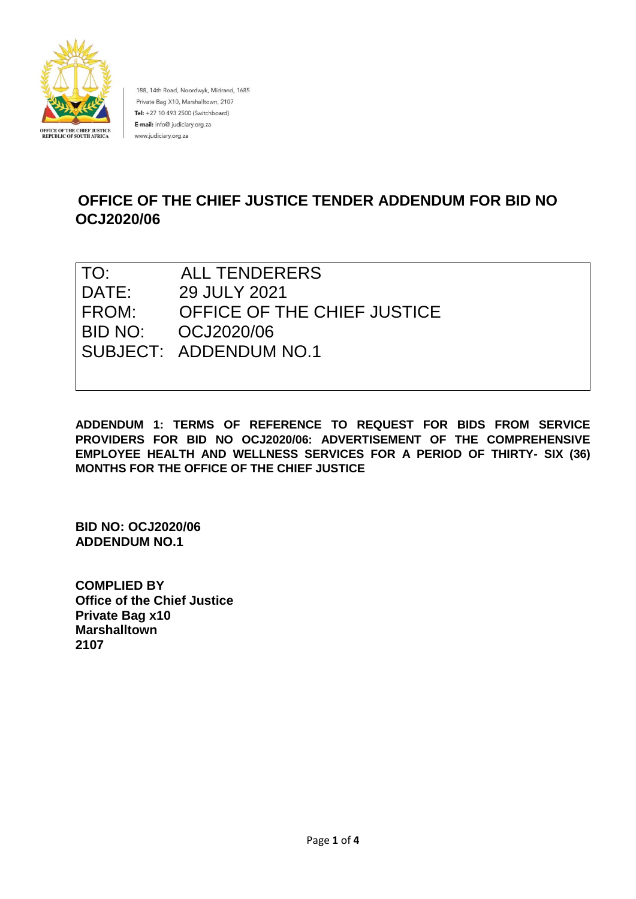

188, 14th Road, Noordwyk, Midrand, 1685 Private Bag X10, Marshalltown, 2107 Tel: +27 10 493 2500 (Switchboard) E-mail: info@ judiciary.org.za www.judiciary.org.za

# **OFFICE OF THE CHIEF JUSTICE TENDER ADDENDUM FOR BID NO OCJ2020/06**

| TO:   | <b>ALL TENDERERS</b>        |
|-------|-----------------------------|
| DATE: | 29 JULY 2021                |
| FROM: | OFFICE OF THE CHIEF JUSTICE |
|       | BID NO: 0CJ2020/06          |
|       | SUBJECT: ADDENDUM NO.1      |
|       |                             |

**ADDENDUM 1: TERMS OF REFERENCE TO REQUEST FOR BIDS FROM SERVICE PROVIDERS FOR BID NO OCJ2020/06: ADVERTISEMENT OF THE COMPREHENSIVE EMPLOYEE HEALTH AND WELLNESS SERVICES FOR A PERIOD OF THIRTY- SIX (36) MONTHS FOR THE OFFICE OF THE CHIEF JUSTICE**

**BID NO: OCJ2020/06 ADDENDUM NO.1** 

**COMPLIED BY Office of the Chief Justice Private Bag x10 Marshalltown 2107**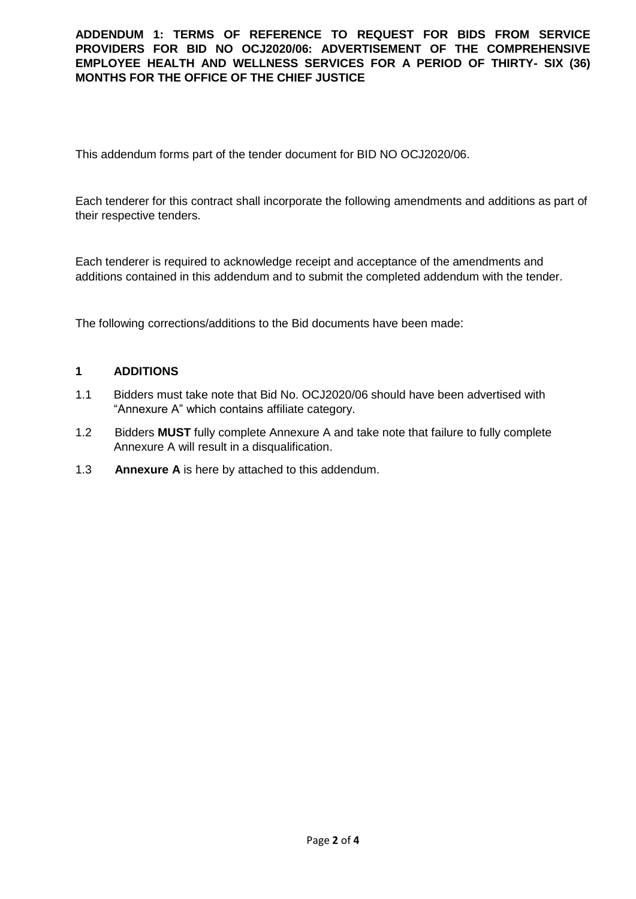# **ADDENDUM 1: TERMS OF REFERENCE TO REQUEST FOR BIDS FROM SERVICE PROVIDERS FOR BID NO OCJ2020/06: ADVERTISEMENT OF THE COMPREHENSIVE EMPLOYEE HEALTH AND WELLNESS SERVICES FOR A PERIOD OF THIRTY- SIX (36) MONTHS FOR THE OFFICE OF THE CHIEF JUSTICE**

This addendum forms part of the tender document for BID NO OCJ2020/06.

Each tenderer for this contract shall incorporate the following amendments and additions as part of their respective tenders.

Each tenderer is required to acknowledge receipt and acceptance of the amendments and additions contained in this addendum and to submit the completed addendum with the tender.

The following corrections/additions to the Bid documents have been made:

# **1 ADDITIONS**

- 1.1 Bidders must take note that Bid No. OCJ2020/06 should have been advertised with "Annexure A" which contains affiliate category.
- 1.2 Bidders **MUST** fully complete Annexure A and take note that failure to fully complete Annexure A will result in a disqualification.
- 1.3 **Annexure A** is here by attached to this addendum.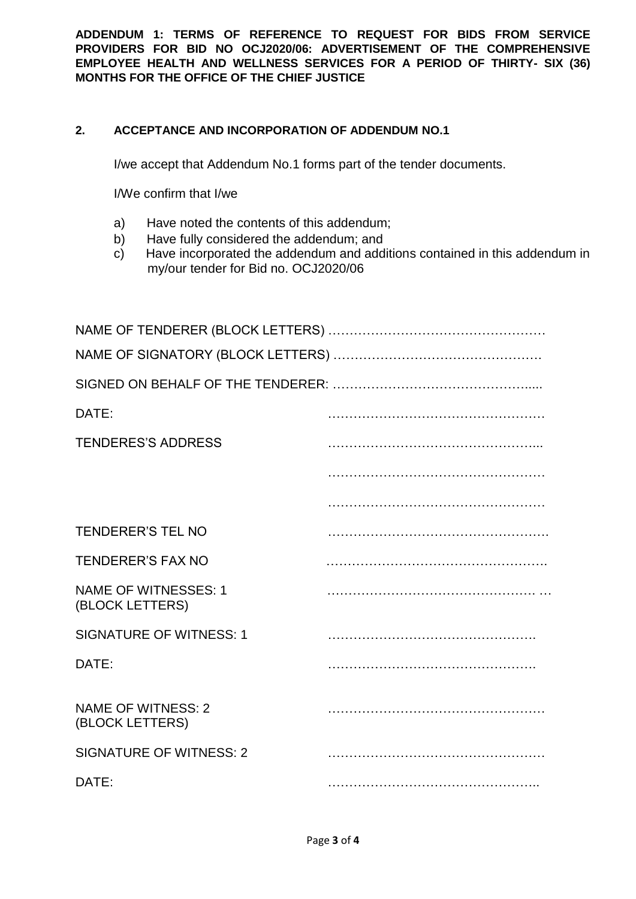**ADDENDUM 1: TERMS OF REFERENCE TO REQUEST FOR BIDS FROM SERVICE PROVIDERS FOR BID NO OCJ2020/06: ADVERTISEMENT OF THE COMPREHENSIVE EMPLOYEE HEALTH AND WELLNESS SERVICES FOR A PERIOD OF THIRTY- SIX (36) MONTHS FOR THE OFFICE OF THE CHIEF JUSTICE**

# **2. ACCEPTANCE AND INCORPORATION OF ADDENDUM NO.1**

I/we accept that Addendum No.1 forms part of the tender documents.

I/We confirm that I/we

- a) Have noted the contents of this addendum;
- b) Have fully considered the addendum; and
- c) Have incorporated the addendum and additions contained in this addendum in my/our tender for Bid no. OCJ2020/06

| DATE:                                          |  |
|------------------------------------------------|--|
| <b>TENDERES'S ADDRESS</b>                      |  |
|                                                |  |
|                                                |  |
| <b>TENDERER'S TEL NO</b>                       |  |
| <b>TENDERER'S FAX NO</b>                       |  |
| <b>NAME OF WITNESSES: 1</b><br>(BLOCK LETTERS) |  |
| <b>SIGNATURE OF WITNESS: 1</b>                 |  |
| DATE:                                          |  |
| <b>NAME OF WITNESS: 2</b><br>(BLOCK LETTERS)   |  |
| <b>SIGNATURE OF WITNESS: 2</b>                 |  |
| DATE:                                          |  |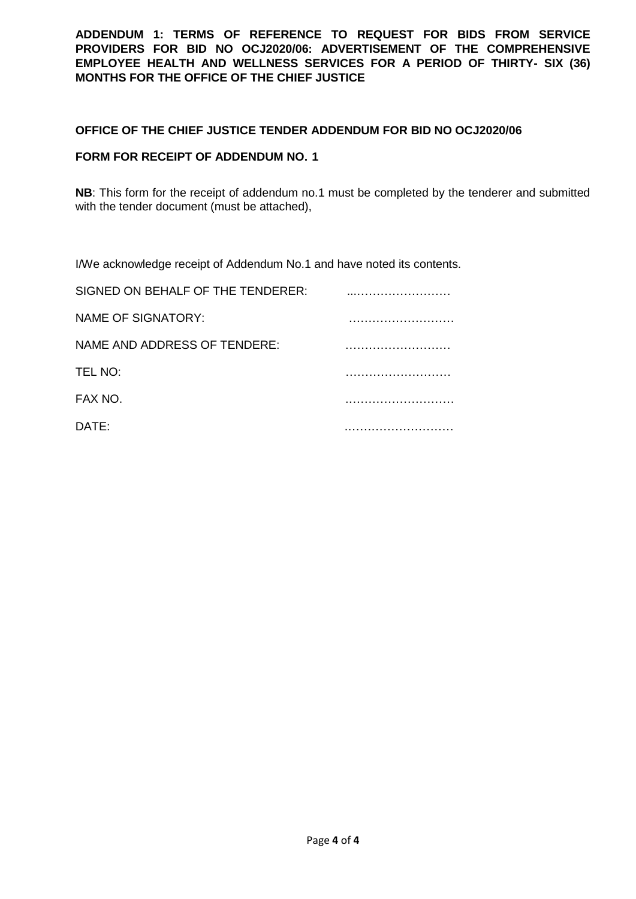**ADDENDUM 1: TERMS OF REFERENCE TO REQUEST FOR BIDS FROM SERVICE PROVIDERS FOR BID NO OCJ2020/06: ADVERTISEMENT OF THE COMPREHENSIVE EMPLOYEE HEALTH AND WELLNESS SERVICES FOR A PERIOD OF THIRTY- SIX (36) MONTHS FOR THE OFFICE OF THE CHIEF JUSTICE**

### **OFFICE OF THE CHIEF JUSTICE TENDER ADDENDUM FOR BID NO OCJ2020/06**

### **FORM FOR RECEIPT OF ADDENDUM NO. 1**

**NB**: This form for the receipt of addendum no.1 must be completed by the tenderer and submitted with the tender document (must be attached),

I/We acknowledge receipt of Addendum No.1 and have noted its contents.

| SIGNED ON BEHALF OF THE TENDERER: |  |
|-----------------------------------|--|
| <b>NAME OF SIGNATORY:</b>         |  |
| NAME AND ADDRESS OF TENDERE:      |  |
| TEL NO:                           |  |
| FAX NO.                           |  |
| DATE:                             |  |